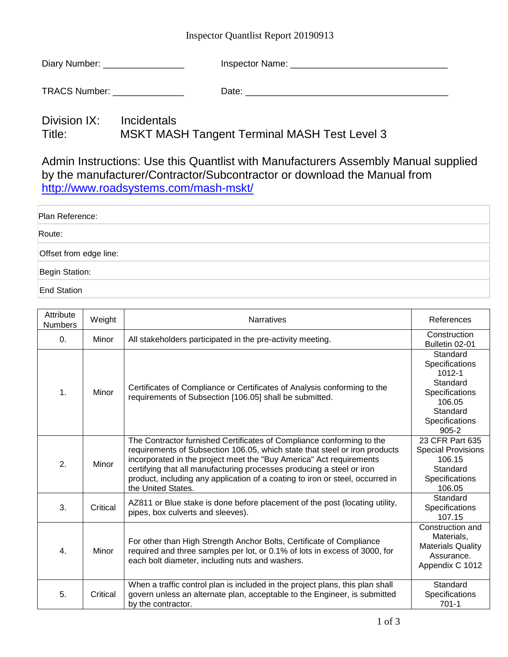## Inspector Quantlist Report 20190913

| Diary Number: | Inspector Name: |
|---------------|-----------------|
|---------------|-----------------|

TRACS Number: \_\_\_\_\_\_\_\_\_\_\_\_\_\_ Date: \_\_\_\_\_\_\_\_\_\_\_\_\_\_\_\_\_\_\_\_\_\_\_\_\_\_\_\_\_\_\_\_\_\_\_\_\_\_\_\_

## Division IX: Incidentals Title: MSKT MASH Tangent Terminal MASH Test Level 3

Admin Instructions: Use this Quantlist with Manufacturers Assembly Manual supplied by the manufacturer/Contractor/Subcontractor or download the Manual from <http://www.roadsystems.com/mash-mskt/>

| Plan Reference:        |  |
|------------------------|--|
| Route:                 |  |
| Offset from edge line: |  |
| Begin Station:         |  |
| <b>End Station</b>     |  |

| Attribute<br><b>Numbers</b> | Weight   | <b>Narratives</b>                                                                                                                                                                                                                                                                                                                                                                                          | References                                                                                                              |
|-----------------------------|----------|------------------------------------------------------------------------------------------------------------------------------------------------------------------------------------------------------------------------------------------------------------------------------------------------------------------------------------------------------------------------------------------------------------|-------------------------------------------------------------------------------------------------------------------------|
| $\Omega$ .                  | Minor    | All stakeholders participated in the pre-activity meeting.                                                                                                                                                                                                                                                                                                                                                 | Construction<br>Bulletin 02-01                                                                                          |
| $\mathbf 1$ .               | Minor    | Certificates of Compliance or Certificates of Analysis conforming to the<br>requirements of Subsection [106.05] shall be submitted.                                                                                                                                                                                                                                                                        | Standard<br>Specifications<br>1012-1<br>Standard<br>Specifications<br>106.05<br>Standard<br>Specifications<br>$905 - 2$ |
| 2.                          | Minor    | The Contractor furnished Certificates of Compliance conforming to the<br>requirements of Subsection 106.05, which state that steel or iron products<br>incorporated in the project meet the "Buy America" Act requirements<br>certifying that all manufacturing processes producing a steel or iron<br>product, including any application of a coating to iron or steel, occurred in<br>the United States. | 23 CFR Part 635<br><b>Special Provisions</b><br>106.15<br>Standard<br>Specifications<br>106.05                          |
| 3.                          | Critical | AZ811 or Blue stake is done before placement of the post (locating utility,<br>pipes, box culverts and sleeves).                                                                                                                                                                                                                                                                                           | Standard<br>Specifications<br>107.15                                                                                    |
| 4.                          | Minor    | For other than High Strength Anchor Bolts, Certificate of Compliance<br>required and three samples per lot, or 0.1% of lots in excess of 3000, for<br>each bolt diameter, including nuts and washers.                                                                                                                                                                                                      | Construction and<br>Materials,<br><b>Materials Quality</b><br>Assurance.<br>Appendix C 1012                             |
| 5.                          | Critical | When a traffic control plan is included in the project plans, this plan shall<br>govern unless an alternate plan, acceptable to the Engineer, is submitted<br>by the contractor.                                                                                                                                                                                                                           | Standard<br>Specifications<br>$701-1$                                                                                   |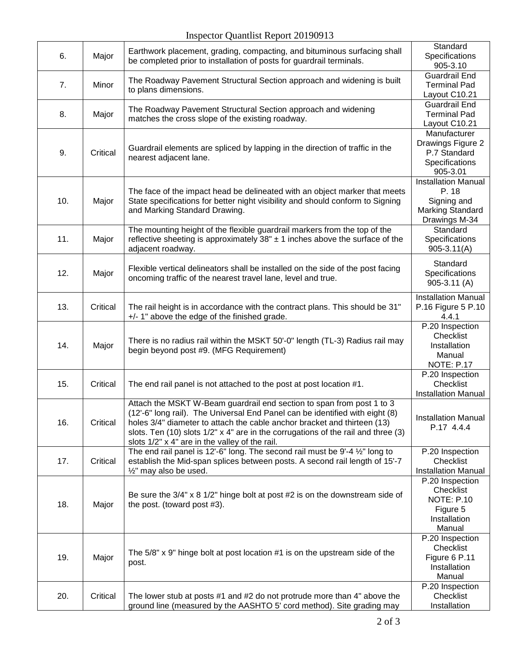| 6.  | Major    | Earthwork placement, grading, compacting, and bituminous surfacing shall<br>be completed prior to installation of posts for guardrail terminals.                                                                                                                                                                                                                         | Standard<br>Specifications<br>905-3.10                                                         |
|-----|----------|--------------------------------------------------------------------------------------------------------------------------------------------------------------------------------------------------------------------------------------------------------------------------------------------------------------------------------------------------------------------------|------------------------------------------------------------------------------------------------|
| 7.  | Minor    | The Roadway Pavement Structural Section approach and widening is built<br>to plans dimensions.                                                                                                                                                                                                                                                                           | <b>Guardrail End</b><br><b>Terminal Pad</b><br>Layout C10.21                                   |
| 8.  | Major    | The Roadway Pavement Structural Section approach and widening<br>matches the cross slope of the existing roadway.                                                                                                                                                                                                                                                        | <b>Guardrail End</b><br><b>Terminal Pad</b><br>Layout C10.21                                   |
| 9.  | Critical | Guardrail elements are spliced by lapping in the direction of traffic in the<br>nearest adjacent lane.                                                                                                                                                                                                                                                                   | Manufacturer<br>Drawings Figure 2<br>P.7 Standard<br>Specifications<br>905-3.01                |
| 10. | Major    | The face of the impact head be delineated with an object marker that meets<br>State specifications for better night visibility and should conform to Signing<br>and Marking Standard Drawing.                                                                                                                                                                            | <b>Installation Manual</b><br>P. 18<br>Signing and<br><b>Marking Standard</b><br>Drawings M-34 |
| 11. | Major    | The mounting height of the flexible guardrail markers from the top of the<br>reflective sheeting is approximately $38" \pm 1$ inches above the surface of the<br>adjacent roadway.                                                                                                                                                                                       | Standard<br>Specifications<br>$905 - 3.11(A)$                                                  |
| 12. | Major    | Flexible vertical delineators shall be installed on the side of the post facing<br>oncoming traffic of the nearest travel lane, level and true.                                                                                                                                                                                                                          | Standard<br>Specifications<br>$905 - 3.11$ (A)                                                 |
| 13. | Critical | The rail height is in accordance with the contract plans. This should be 31"<br>+/- 1" above the edge of the finished grade.                                                                                                                                                                                                                                             | <b>Installation Manual</b><br>P.16 Figure 5 P.10<br>4.4.1                                      |
| 14. | Major    | There is no radius rail within the MSKT 50'-0" length (TL-3) Radius rail may<br>begin beyond post #9. (MFG Requirement)                                                                                                                                                                                                                                                  | P.20 Inspection<br>Checklist<br>Installation<br>Manual<br><b>NOTE: P.17</b>                    |
| 15. | Critical | The end rail panel is not attached to the post at post location #1.                                                                                                                                                                                                                                                                                                      | P.20 Inspection<br>Checklist<br><b>Installation Manual</b>                                     |
| 16. | Critical | Attach the MSKT W-Beam guardrail end section to span from post 1 to 3<br>(12'-6" long rail). The Universal End Panel can be identified with eight (8)<br>holes 3/4" diameter to attach the cable anchor bracket and thirteen (13)<br>slots. Ten (10) slots 1/2" x 4" are in the corrugations of the rail and three (3)<br>slots 1/2" x 4" are in the valley of the rail. | <b>Installation Manual</b><br>P.17 4.4.4                                                       |
| 17. | Critical | The end rail panel is 12'-6" long. The second rail must be 9'-4 1/2" long to<br>establish the Mid-span splices between posts. A second rail length of 15'-7<br>1/2" may also be used.                                                                                                                                                                                    | P.20 Inspection<br>Checklist<br><b>Installation Manual</b>                                     |
| 18. | Major    | Be sure the $3/4$ " x 8 $1/2$ " hinge bolt at post #2 is on the downstream side of<br>the post. (toward post #3).                                                                                                                                                                                                                                                        | P.20 Inspection<br>Checklist<br><b>NOTE: P.10</b><br>Figure 5<br>Installation<br>Manual        |
| 19. | Major    | The $5/8$ " x 9" hinge bolt at post location $#1$ is on the upstream side of the<br>post.                                                                                                                                                                                                                                                                                | P.20 Inspection<br>Checklist<br>Figure 6 P.11<br>Installation<br>Manual                        |
| 20. | Critical | The lower stub at posts #1 and #2 do not protrude more than 4" above the<br>ground line (measured by the AASHTO 5' cord method). Site grading may                                                                                                                                                                                                                        | P.20 Inspection<br>Checklist<br>Installation                                                   |